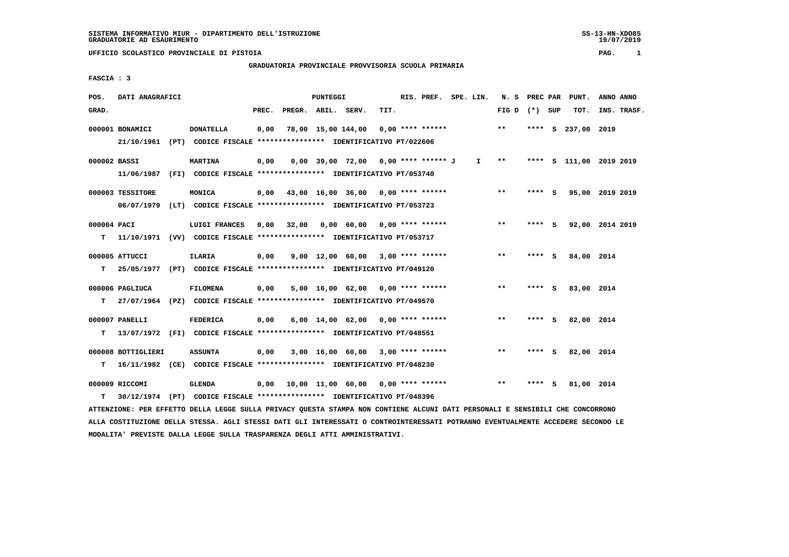## **GRADUATORIA PROVINCIALE PROVVISORIA SCUOLA PRIMARIA**

 **FASCIA : 3**

| POS.         | DATI ANAGRAFICI    |                                                                          |       |                    | PUNTEGGI |                                           |      | RIS. PREF. | SPE. LIN. | N.S             | PREC PAR |          | PUNT.                   | ANNO ANNO |             |
|--------------|--------------------|--------------------------------------------------------------------------|-------|--------------------|----------|-------------------------------------------|------|------------|-----------|-----------------|----------|----------|-------------------------|-----------|-------------|
| GRAD.        |                    |                                                                          | PREC. | PREGR. ABIL. SERV. |          |                                           | TIT. |            |           | FIG D $(*)$ SUP |          |          | TOT.                    |           | INS. TRASF. |
|              | 000001 BONAMICI    | <b>DONATELLA</b>                                                         | 0,00  |                    |          | 78,00 15,00 144,00 0,00 **** ******       |      |            |           | $* *$           | ****     | <b>S</b> | 237,00 2019             |           |             |
|              | 21/10/1961         | (PT) CODICE FISCALE **************** IDENTIFICATIVO PT/022606            |       |                    |          |                                           |      |            |           |                 |          |          |                         |           |             |
| 000002 BASSI |                    | <b>MARTINA</b>                                                           | 0,00  |                    |          | $0,00$ 39,00 72,00 0,00 **** ****** J     |      |            | I.        | $**$            |          |          | **** S 111,00 2019 2019 |           |             |
|              | 11/06/1987         | (FI) CODICE FISCALE **************** IDENTIFICATIVO PT/053740            |       |                    |          |                                           |      |            |           |                 |          |          |                         |           |             |
|              | 000003 TESSITORE   | MONICA                                                                   | 0,00  |                    |          | 43,00 16,00 36,00 0,00 **** ******        |      |            |           | $* *$           | **** S   |          | 95,00 2019 2019         |           |             |
|              | 06/07/1979         | (LT) CODICE FISCALE **************** IDENTIFICATIVO PT/053723            |       |                    |          |                                           |      |            |           |                 |          |          |                         |           |             |
| 000004 PACI  |                    | LUIGI FRANCES                                                            | 0.00  | 32,00              |          | $0.00 \t 60.00 \t 0.00$ **** ******       |      |            |           | $***$           | **** S   |          | 92,00 2014 2019         |           |             |
| т            |                    | 11/10/1971 (VV) CODICE FISCALE **************** IDENTIFICATIVO PT/053717 |       |                    |          |                                           |      |            |           |                 |          |          |                         |           |             |
|              | 000005 ATTUCCI     | ILARIA                                                                   | 0,00  |                    |          | $9,00$ 12,00 60,00 3,00 **** ******       |      |            |           | $***$           | **** S   |          | 84,00 2014              |           |             |
| т            |                    | 25/05/1977 (PT) CODICE FISCALE *************** IDENTIFICATIVO PT/049120  |       |                    |          |                                           |      |            |           |                 |          |          |                         |           |             |
|              | 000006 PAGLIUCA    | <b>FILOMENA</b>                                                          | 0,00  |                    |          | $5,00$ 16,00 62,00 0,00 **** ******       |      |            |           | $***$           | **** S   |          | 83,00 2014              |           |             |
| т            |                    | 27/07/1964 (PZ) CODICE FISCALE **************** IDENTIFICATIVO PT/049570 |       |                    |          |                                           |      |            |           |                 |          |          |                         |           |             |
|              | 000007 PANELLI     | <b>FEDERICA</b>                                                          | 0,00  |                    |          | $6,00$ 14,00 62,00 0,00 **** ******       |      |            |           | **              | **** S   |          | 82,00 2014              |           |             |
| т            |                    | 13/07/1972 (FI) CODICE FISCALE *************** IDENTIFICATIVO PT/048551  |       |                    |          |                                           |      |            |           |                 |          |          |                         |           |             |
|              | 000008 BOTTIGLIERI | <b>ASSUNTA</b>                                                           | 0,00  |                    |          | $3,00$ 16,00 60,00 3,00 **** ******       |      |            |           | $* *$           | **** S   |          | 82,00 2014              |           |             |
| т            |                    | 16/11/1982 (CE) CODICE FISCALE *************** IDENTIFICATIVO PT/048230  |       |                    |          |                                           |      |            |           |                 |          |          |                         |           |             |
|              | 000009 RICCOMI     | <b>GLENDA</b>                                                            |       |                    |          | $0,00$ 10,00 11,00 60,00 0,00 **** ****** |      |            |           | $* *$           | ****     | s        | 81,00 2014              |           |             |
| т            |                    | 30/12/1974 (PT) CODICE FISCALE **************** IDENTIFICATIVO PT/048396 |       |                    |          |                                           |      |            |           |                 |          |          |                         |           |             |

 **ATTENZIONE: PER EFFETTO DELLA LEGGE SULLA PRIVACY QUESTA STAMPA NON CONTIENE ALCUNI DATI PERSONALI E SENSIBILI CHE CONCORRONO ALLA COSTITUZIONE DELLA STESSA. AGLI STESSI DATI GLI INTERESSATI O CONTROINTERESSATI POTRANNO EVENTUALMENTE ACCEDERE SECONDO LE MODALITA' PREVISTE DALLA LEGGE SULLA TRASPARENZA DEGLI ATTI AMMINISTRATIVI.**

SS-13-HN-XDO85<br>19/07/2019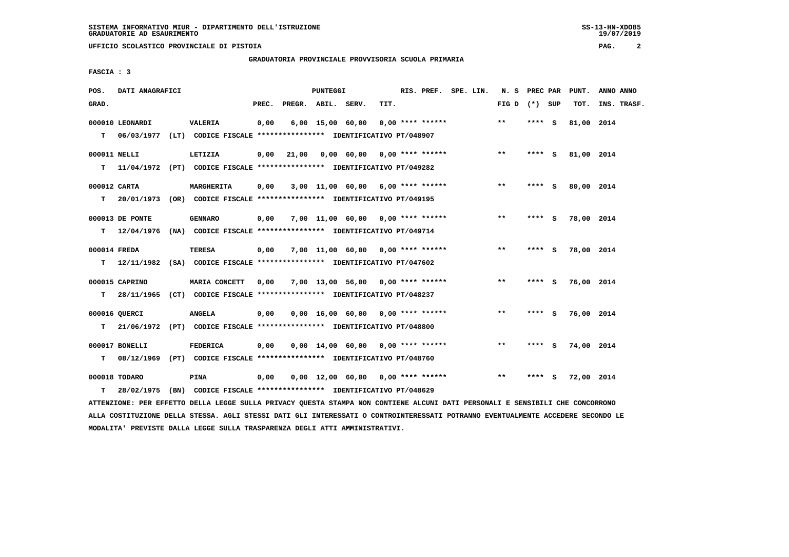**GRADUATORIA PROVINCIALE PROVVISORIA SCUOLA PRIMARIA**

 **FASCIA : 3**

| POS.  | DATI ANAGRAFICI |                                                                          |       |              | PUNTEGGI |                                     |      | RIS. PREF. SPE. LIN. |  | N. S PREC PAR   |         |     | PUNT.      | ANNO ANNO   |
|-------|-----------------|--------------------------------------------------------------------------|-------|--------------|----------|-------------------------------------|------|----------------------|--|-----------------|---------|-----|------------|-------------|
| GRAD. |                 |                                                                          | PREC. | PREGR. ABIL. |          | SERV.                               | TIT. |                      |  | FIG D $(*)$ SUP |         |     | TOT.       | INS. TRASF. |
|       | 000010 LEONARDI | <b>VALERIA</b>                                                           | 0,00  |              |          | $6,00$ 15,00 60,00                  |      | $0.00$ **** ******   |  | $***$           | **** S  |     | 81,00 2014 |             |
| T.    |                 | 06/03/1977 (LT) CODICE FISCALE *************** IDENTIFICATIVO PT/048907  |       |              |          |                                     |      |                      |  |                 |         |     |            |             |
|       | 000011 NELLI    | LETIZIA                                                                  | 0,00  | 21,00        |          | $0.00$ 60.00 0.00 **** ******       |      |                      |  | $***$           | **** S  |     | 81,00 2014 |             |
| T.    |                 | 11/04/1972 (PT) CODICE FISCALE *************** IDENTIFICATIVO PT/049282  |       |              |          |                                     |      |                      |  |                 |         |     |            |             |
|       | 000012 CARTA    | <b>MARGHERITA</b>                                                        | 0,00  |              |          | $3,00$ 11,00 60,00 6,00 **** ****** |      |                      |  | $* *$           | **** S  |     | 80,00 2014 |             |
| т     |                 | 20/01/1973 (OR) CODICE FISCALE **************** IDENTIFICATIVO PT/049195 |       |              |          |                                     |      |                      |  |                 |         |     |            |             |
|       | 000013 DE PONTE | <b>GENNARO</b>                                                           | 0,00  |              |          | 7,00 11,00 60,00 0,00 **** ******   |      |                      |  | $* *$           | **** S  |     | 78,00 2014 |             |
| т     |                 | 12/04/1976 (NA) CODICE FISCALE *************** IDENTIFICATIVO PT/049714  |       |              |          |                                     |      |                      |  |                 |         |     |            |             |
|       | 000014 FREDA    | <b>TERESA</b>                                                            | 0,00  |              |          | 7,00 11,00 60,00 0,00 **** ******   |      |                      |  | $***$           | **** S  |     | 78,00 2014 |             |
| T.    |                 | 12/11/1982 (SA) CODICE FISCALE **************** IDENTIFICATIVO PT/047602 |       |              |          |                                     |      |                      |  |                 |         |     |            |             |
|       | 000015 CAPRINO  | MARIA CONCETT                                                            | 0,00  |              |          | $7,00$ 13,00 56,00 0,00 **** ****** |      |                      |  | $***$           | $***$ S |     | 76,00 2014 |             |
| т     |                 | 28/11/1965 (CT) CODICE FISCALE **************** IDENTIFICATIVO PT/048237 |       |              |          |                                     |      |                      |  |                 |         |     |            |             |
|       | 000016 OUERCI   | <b>ANGELA</b>                                                            |       |              |          |                                     |      |                      |  | $* *$           | **** S  |     |            |             |
| т     |                 | 21/06/1972 (PT) CODICE FISCALE *************** IDENTIFICATIVO PT/048800  | 0,00  |              |          | $0,00$ 16,00 60,00 0,00 **** ****** |      |                      |  |                 |         |     | 76,00 2014 |             |
|       |                 |                                                                          |       |              |          |                                     |      |                      |  |                 |         |     |            |             |
|       | 000017 BONELLI  | <b>FEDERICA</b>                                                          | 0,00  |              |          | $0.00$ 14.00 60.00 0.00 **** ****** |      |                      |  | $* *$           | **** S  |     | 74,00 2014 |             |
| т     |                 | 08/12/1969 (PT) CODICE FISCALE **************** IDENTIFICATIVO PT/048760 |       |              |          |                                     |      |                      |  |                 |         |     |            |             |
|       | 000018 TODARO   | <b>PINA</b>                                                              | 0,00  |              |          | $0,00$ 12,00 60,00 0,00 **** ****** |      |                      |  | $\star\star$    | ****    | - S | 72,00 2014 |             |
| т     |                 | 28/02/1975 (BN) CODICE FISCALE **************** IDENTIFICATIVO PT/048629 |       |              |          |                                     |      |                      |  |                 |         |     |            |             |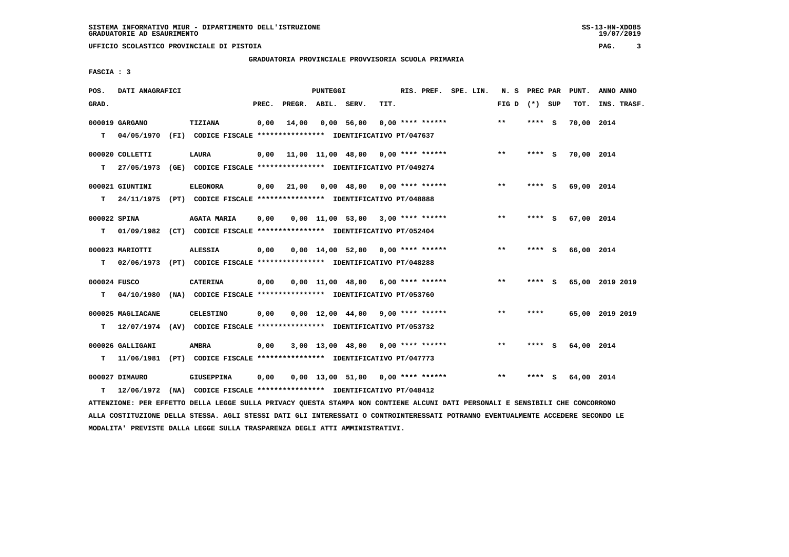**UFFICIO SCOLASTICO PROVINCIALE DI PISTOIA PAG. 3**

 **GRADUATORIA PROVINCIALE PROVVISORIA SCUOLA PRIMARIA**

 **FASCIA : 3**

| POS.         | DATI ANAGRAFICI   |                                                                          |       |                    | PUNTEGGI |            |                                                   |                    | RIS. PREF. SPE. LIN. | N. S PREC PAR     |        |          | PUNT.      | ANNO ANNO       |
|--------------|-------------------|--------------------------------------------------------------------------|-------|--------------------|----------|------------|---------------------------------------------------|--------------------|----------------------|-------------------|--------|----------|------------|-----------------|
| GRAD.        |                   |                                                                          | PREC. | PREGR. ABIL. SERV. |          |            | TIT.                                              |                    |                      | FIG $D$ $(*)$ SUP |        |          | TOT.       | INS. TRASF.     |
|              | 000019 GARGANO    | TIZIANA                                                                  | 0,00  | 14,00              |          | 0.00 56.00 |                                                   | $0.00$ **** ****** |                      | $**$              | **** S |          | 70,00 2014 |                 |
| т            |                   | 04/05/1970 (FI) CODICE FISCALE **************** IDENTIFICATIVO PT/047637 |       |                    |          |            |                                                   |                    |                      |                   |        |          |            |                 |
|              | 000020 COLLETTI   | <b>LAURA</b>                                                             |       |                    |          |            | $0,00$ 11,00 11,00 48,00 0,00 **** ******         |                    |                      | $***$             | **** S |          | 70,00 2014 |                 |
| т            |                   | 27/05/1973 (GE) CODICE FISCALE *************** IDENTIFICATIVO PT/049274  |       |                    |          |            |                                                   |                    |                      |                   |        |          |            |                 |
|              | 000021 GIUNTINI   | <b>ELEONORA</b>                                                          |       | $0,00$ $21,00$     |          |            | $0.00 \quad 48.00 \quad 0.00 \quad *** \quad ***$ |                    |                      | $* *$             | ****   | - S      | 69,00 2014 |                 |
| т            |                   | 24/11/1975 (PT) CODICE FISCALE **************** IDENTIFICATIVO PT/048888 |       |                    |          |            |                                                   |                    |                      |                   |        |          |            |                 |
| 000022 SPINA |                   | <b>AGATA MARIA</b>                                                       | 0,00  |                    |          |            | $0,00$ 11,00 53,00 3,00 **** ******               |                    |                      | $* *$             | **** S |          | 67,00 2014 |                 |
| т            |                   | 01/09/1982 (CT) CODICE FISCALE **************** IDENTIFICATIVO PT/052404 |       |                    |          |            |                                                   |                    |                      |                   |        |          |            |                 |
|              | 000023 MARIOTTI   | <b>ALESSIA</b>                                                           | 0,00  |                    |          |            | $0.00$ 14.00 52.00 0.00 **** ******               |                    |                      | $***$             | **** S |          | 66,00 2014 |                 |
| т            |                   | 02/06/1973 (PT) CODICE FISCALE **************** IDENTIFICATIVO PT/048288 |       |                    |          |            |                                                   |                    |                      |                   |        |          |            |                 |
| 000024 FUSCO |                   | <b>CATERINA</b>                                                          | 0,00  |                    |          |            | $0.00$ 11.00 48.00 6.00 **** ******               |                    |                      | $* *$             | ****   | - S      |            | 65,00 2019 2019 |
| т            |                   | 04/10/1980 (NA) CODICE FISCALE **************** IDENTIFICATIVO PT/053760 |       |                    |          |            |                                                   |                    |                      |                   |        |          |            |                 |
|              | 000025 MAGLIACANE | <b>CELESTINO</b>                                                         | 0,00  |                    |          |            | $0.00$ 12.00 44.00 9.00 **** ******               |                    |                      | $* *$             | ****   |          |            | 65,00 2019 2019 |
| т            |                   | 12/07/1974 (AV) CODICE FISCALE **************** IDENTIFICATIVO PT/053732 |       |                    |          |            |                                                   |                    |                      |                   |        |          |            |                 |
|              | 000026 GALLIGANI  | <b>AMBRA</b>                                                             | 0,00  |                    |          |            | 3,00 13,00 48,00 0,00 **** ******                 |                    |                      | $* *$             | ****   | <b>S</b> | 64,00 2014 |                 |
| т            |                   | 11/06/1981 (PT) CODICE FISCALE *************** IDENTIFICATIVO PT/047773  |       |                    |          |            |                                                   |                    |                      |                   |        |          |            |                 |
|              | 000027 DIMAURO    | <b>GIUSEPPINA</b>                                                        | 0,00  |                    |          |            | $0.00$ 13.00 51.00 0.00 **** ******               |                    |                      | $**$              | ****   | - S      | 64,00 2014 |                 |
| т            |                   | 12/06/1972 (NA) CODICE FISCALE **************** IDENTIFICATIVO PT/048412 |       |                    |          |            |                                                   |                    |                      |                   |        |          |            |                 |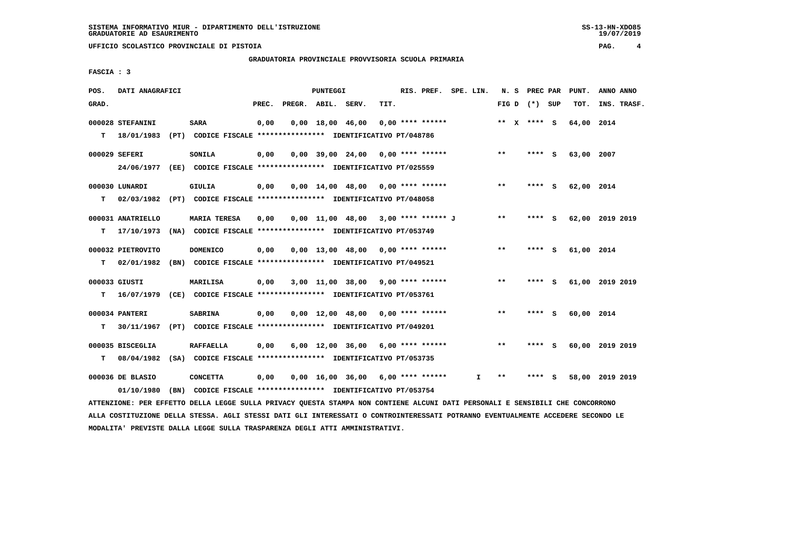**GRADUATORIA PROVINCIALE PROVVISORIA SCUOLA PRIMARIA**

 **FASCIA : 3**

| POS.  | DATI ANAGRAFICI   |                                                                                                                               |       |                    | PUNTEGGI |                                       |      | RIS. PREF. SPE. LIN. |              |       | N. S PREC PAR   |     | PUNT.      | ANNO ANNO       |  |
|-------|-------------------|-------------------------------------------------------------------------------------------------------------------------------|-------|--------------------|----------|---------------------------------------|------|----------------------|--------------|-------|-----------------|-----|------------|-----------------|--|
| GRAD. |                   |                                                                                                                               | PREC. | PREGR. ABIL. SERV. |          |                                       | TIT. |                      |              |       | FIG D $(*)$ SUP |     | тот.       | INS. TRASF.     |  |
|       | 000028 STEFANINI  | <b>SARA</b>                                                                                                                   | 0,00  |                    |          | $0,00$ 18,00 46,00                    |      | $0,00$ **** ******   |              |       | ** $X$ **** S   |     | 64,00 2014 |                 |  |
| т     |                   | 18/01/1983 (PT) CODICE FISCALE **************** IDENTIFICATIVO PT/048786                                                      |       |                    |          |                                       |      |                      |              |       |                 |     |            |                 |  |
|       | 000029 SEFERI     | <b>SONILA</b>                                                                                                                 | 0,00  |                    |          | $0.00$ 39.00 24.00 0.00 **** ******   |      |                      |              | $***$ | **** S          |     | 63,00 2007 |                 |  |
|       |                   | 24/06/1977 (EE) CODICE FISCALE *************** IDENTIFICATIVO PT/025559                                                       |       |                    |          |                                       |      |                      |              |       |                 |     |            |                 |  |
|       | 000030 LUNARDI    | GIULIA                                                                                                                        | 0,00  |                    |          | $0.00$ 14.00 48.00 0.00 **** ******   |      |                      |              | $* *$ | $***$ S         |     | 62,00 2014 |                 |  |
| T.    |                   | 02/03/1982 (PT) CODICE FISCALE **************** IDENTIFICATIVO PT/048058                                                      |       |                    |          |                                       |      |                      |              |       |                 |     |            |                 |  |
|       | 000031 ANATRIELLO | <b>MARIA TERESA</b>                                                                                                           | 0,00  |                    |          | $0,00$ 11,00 48,00 3,00 **** ****** J |      |                      |              | $* *$ | **** S          |     |            | 62,00 2019 2019 |  |
| т     |                   | 17/10/1973 (NA) CODICE FISCALE **************** IDENTIFICATIVO PT/053749                                                      |       |                    |          |                                       |      |                      |              |       |                 |     |            |                 |  |
|       | 000032 PIETROVITO | <b>DOMENICO</b>                                                                                                               | 0,00  |                    |          | $0,00$ 13,00 48,00 0,00 **** ******   |      |                      |              | $**$  | **** S          |     | 61,00 2014 |                 |  |
| т     |                   | 02/01/1982 (BN) CODICE FISCALE **************** IDENTIFICATIVO PT/049521                                                      |       |                    |          |                                       |      |                      |              |       |                 |     |            |                 |  |
|       | 000033 GIUSTI     | <b>MARILISA</b>                                                                                                               | 0,00  |                    |          | $3,00$ 11,00 38,00 9,00 **** ******   |      |                      |              | $***$ | **** S          |     |            | 61,00 2019 2019 |  |
| T.    |                   | 16/07/1979 (CE) CODICE FISCALE *************** IDENTIFICATIVO PT/053761                                                       |       |                    |          |                                       |      |                      |              |       |                 |     |            |                 |  |
|       | 000034 PANTERI    | <b>SABRINA</b>                                                                                                                | 0,00  |                    |          | $0.00$ 12.00 48.00 0.00 **** ******   |      |                      |              | $* *$ | **** S          |     | 60,00 2014 |                 |  |
| т     | 30/11/1967        | (PT) CODICE FISCALE **************** IDENTIFICATIVO PT/049201                                                                 |       |                    |          |                                       |      |                      |              |       |                 |     |            |                 |  |
|       | 000035 BISCEGLIA  | <b>RAFFAELLA</b>                                                                                                              | 0,00  |                    |          | $6,00$ 12,00 36,00 6,00 **** ******   |      |                      |              | $**$  | **** S          |     |            | 60,00 2019 2019 |  |
| T.    | 08/04/1982        | (SA) CODICE FISCALE **************** IDENTIFICATIVO PT/053735                                                                 |       |                    |          |                                       |      |                      |              |       |                 |     |            |                 |  |
|       | 000036 DE BLASIO  | <b>CONCETTA</b>                                                                                                               | 0,00  |                    |          | $0,00$ 16,00 36,00 6,00 **** ******   |      |                      | $\mathbf{I}$ | $***$ | ****            | - 5 |            | 58,00 2019 2019 |  |
|       | 01/10/1980        | (BN) CODICE FISCALE **************** IDENTIFICATIVO PT/053754                                                                 |       |                    |          |                                       |      |                      |              |       |                 |     |            |                 |  |
|       |                   | ATTENZIONE: PER EFFETTO DELLA LEGGE SULLA PRIVACY QUESTA STAMPA NON CONTIENE ALCUNI DATI PERSONALI E SENSIBILI CHE CONCORRONO |       |                    |          |                                       |      |                      |              |       |                 |     |            |                 |  |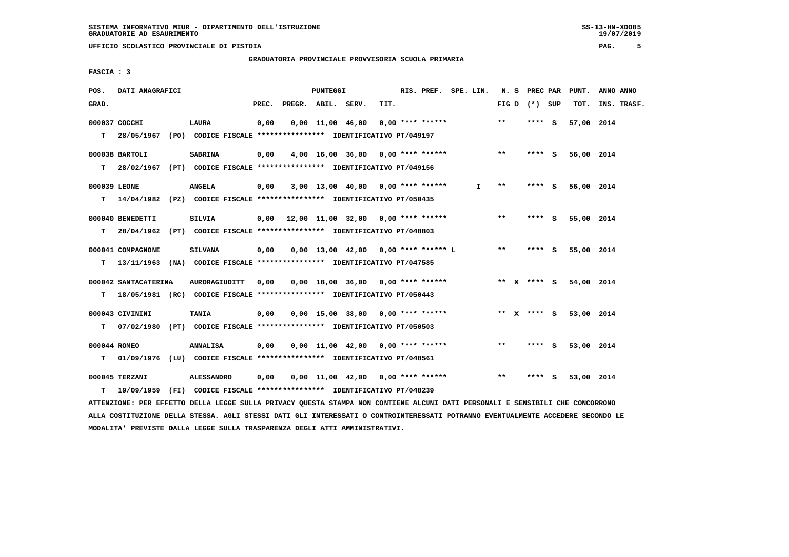**UFFICIO SCOLASTICO PROVINCIALE DI PISTOIA PAG. 5**

 **GRADUATORIA PROVINCIALE PROVVISORIA SCUOLA PRIMARIA**

 **FASCIA : 3**

| POS.         | DATI ANAGRAFICI                                                          |                      |       |                    | PUNTEGGI |                  |                                           | RIS. PREF. SPE. LIN. |    |       | N. S PREC PAR   | PUNT.                  | ANNO ANNO   |
|--------------|--------------------------------------------------------------------------|----------------------|-------|--------------------|----------|------------------|-------------------------------------------|----------------------|----|-------|-----------------|------------------------|-------------|
| GRAD.        |                                                                          |                      | PREC. | PREGR. ABIL. SERV. |          |                  | TIT.                                      |                      |    |       | FIG D $(*)$ SUP | тот.                   | INS. TRASF. |
|              | 000037 COCCHI                                                            | LAURA                | 0,00  |                    |          | 0,00 11,00 46,00 | $0.00$ **** ******                        |                      |    | $***$ | **** S          | 57,00 2014             |             |
| т            | 28/05/1967 (PO) CODICE FISCALE *************** IDENTIFICATIVO PT/049197  |                      |       |                    |          |                  |                                           |                      |    |       |                 |                        |             |
|              | 000038 BARTOLI                                                           | <b>SABRINA</b>       | 0,00  |                    |          |                  | $4,00$ 16,00 36,00 0,00 **** ******       |                      |    | $***$ | **** S          | 56,00 2014             |             |
| T.           | 28/02/1967 (PT) CODICE FISCALE **************** IDENTIFICATIVO PT/049156 |                      |       |                    |          |                  |                                           |                      |    |       |                 |                        |             |
|              | 000039 LEONE                                                             | <b>ANGELA</b>        | 0,00  |                    |          |                  | $3,00$ 13,00 40,00 0,00 **** ******       |                      | I. | $* *$ | **** S          | 56,00 2014             |             |
| т            | 14/04/1982 (PZ) CODICE FISCALE **************** IDENTIFICATIVO PT/050435 |                      |       |                    |          |                  |                                           |                      |    |       |                 |                        |             |
|              | 000040 BENEDETTI                                                         | SILVIA               |       |                    |          |                  | $0,00$ 12,00 11,00 32,00 0,00 **** ****** |                      |    | $***$ | **** S          | 55,00 2014             |             |
| T.           | 28/04/1962 (PT) CODICE FISCALE **************** IDENTIFICATIVO PT/048803 |                      |       |                    |          |                  |                                           |                      |    |       |                 |                        |             |
|              | 000041 COMPAGNONE                                                        | <b>SILVANA</b>       | 0,00  |                    |          |                  | $0,00$ 13,00 42,00 0,00 **** ****** L     |                      |    | $***$ | $***$ S         | 55,00 2014             |             |
| т            | 13/11/1963 (NA) CODICE FISCALE **************** IDENTIFICATIVO PT/047585 |                      |       |                    |          |                  |                                           |                      |    |       |                 |                        |             |
|              | 000042 SANTACATERINA                                                     | <b>AURORAGIUDITT</b> | 0,00  |                    |          |                  | $0.00$ 18.00 36.00 0.00 **** ******       |                      |    |       |                 | ** x **** s 54,00 2014 |             |
| т            | 18/05/1981 (RC) CODICE FISCALE *************** IDENTIFICATIVO PT/050443  |                      |       |                    |          |                  |                                           |                      |    |       |                 |                        |             |
|              | 000043 CIVININI                                                          | <b>TANIA</b>         | 0,00  |                    |          |                  | $0,00$ 15,00 38,00 0,00 **** ******       |                      |    |       | ** $X$ **** S   | 53,00 2014             |             |
| т            | 07/02/1980 (PT) CODICE FISCALE *************** IDENTIFICATIVO PT/050503  |                      |       |                    |          |                  |                                           |                      |    |       |                 |                        |             |
| 000044 ROMEO |                                                                          | <b>ANNALISA</b>      | 0,00  |                    |          |                  | $0.00$ 11.00 42.00 0.00 **** ******       |                      |    | $**$  | **** S          | 53,00 2014             |             |
| T.           | 01/09/1976 (LU) CODICE FISCALE *************** IDENTIFICATIVO PT/048561  |                      |       |                    |          |                  |                                           |                      |    |       |                 |                        |             |
|              | 000045 TERZANI                                                           | <b>ALESSANDRO</b>    | 0,00  |                    |          |                  | $0,00$ 11,00 42,00 0,00 **** ******       |                      |    | $***$ | **** S          | 53,00 2014             |             |
| т            | 19/09/1959 (FI) CODICE FISCALE *************** IDENTIFICATIVO PT/048239  |                      |       |                    |          |                  |                                           |                      |    |       |                 |                        |             |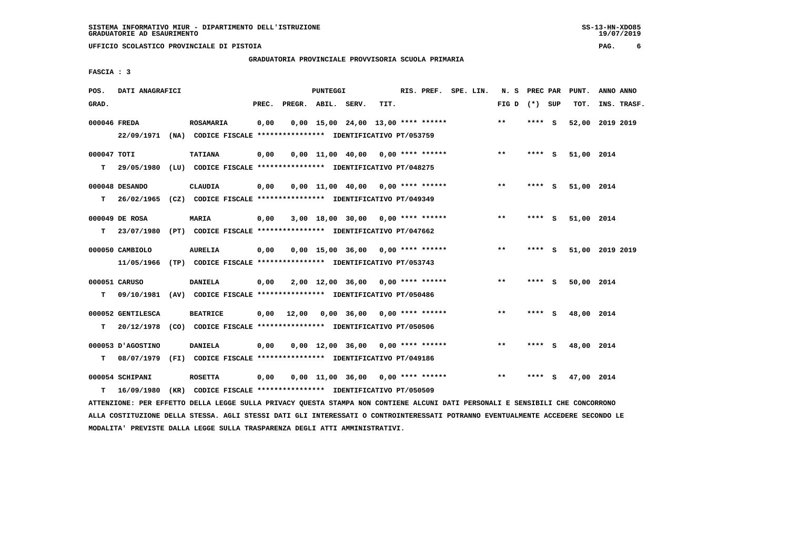**GRADUATORIA PROVINCIALE PROVVISORIA SCUOLA PRIMARIA**

 **FASCIA : 3**

| POS.         | DATI ANAGRAFICI                                                          |                                                                         |       |       | <b>PUNTEGGI</b> |                                      |      | RIS. PREF. SPE. LIN. |  | N. S PREC PAR   |         |     | PUNT.           | ANNO ANNO |             |
|--------------|--------------------------------------------------------------------------|-------------------------------------------------------------------------|-------|-------|-----------------|--------------------------------------|------|----------------------|--|-----------------|---------|-----|-----------------|-----------|-------------|
| GRAD.        |                                                                          |                                                                         | PREC. |       |                 | PREGR. ABIL. SERV.                   | TIT. |                      |  | FIG D $(*)$ SUP |         |     | TOT.            |           | INS. TRASF. |
| 000046 FREDA |                                                                          | <b>ROSAMARIA</b>                                                        | 0,00  |       |                 | $0,00$ 15,00 24,00 13,00 **** ****** |      |                      |  | $**$            | **** S  |     | 52,00 2019 2019 |           |             |
|              |                                                                          | 22/09/1971 (NA) CODICE FISCALE *************** IDENTIFICATIVO PT/053759 |       |       |                 |                                      |      |                      |  |                 |         |     |                 |           |             |
| 000047 TOTI  |                                                                          | <b>TATIANA</b>                                                          | 0,00  |       |                 | 0,00 11,00 40,00 0,00 **** ******    |      |                      |  | $* *$           | **** S  |     | 51,00 2014      |           |             |
| т            | 29/05/1980 (LU) CODICE FISCALE *************** IDENTIFICATIVO PT/048275  |                                                                         |       |       |                 |                                      |      |                      |  |                 |         |     |                 |           |             |
|              | 000048 DESANDO                                                           | <b>CLAUDIA</b>                                                          | 0,00  |       |                 | $0,00$ 11,00 40,00 0,00 **** ******  |      |                      |  | $***$           | **** S  |     | 51,00 2014      |           |             |
| т            | 26/02/1965 (CZ) CODICE FISCALE *************** IDENTIFICATIVO PT/049349  |                                                                         |       |       |                 |                                      |      |                      |  |                 |         |     |                 |           |             |
|              | 000049 DE ROSA                                                           | MARIA                                                                   | 0,00  |       |                 | $3,00$ 18,00 30,00 0,00 **** ******  |      |                      |  | $***$           | **** S  |     | 51,00 2014      |           |             |
| т            | 23/07/1980 (PT) CODICE FISCALE *************** IDENTIFICATIVO PT/047662  |                                                                         |       |       |                 |                                      |      |                      |  |                 |         |     |                 |           |             |
|              | 000050 CAMBIOLO                                                          | <b>AURELIA</b>                                                          | 0,00  |       |                 | $0.00$ 15.00 36.00 0.00 **** ******  |      |                      |  | $***$           | **** S  |     | 51,00 2019 2019 |           |             |
|              |                                                                          | 11/05/1966 (TP) CODICE FISCALE *************** IDENTIFICATIVO PT/053743 |       |       |                 |                                      |      |                      |  |                 |         |     |                 |           |             |
|              | 000051 CARUSO                                                            | <b>DANIELA</b>                                                          | 0,00  |       |                 | $2,00$ 12,00 36,00 0,00 **** ******  |      |                      |  | $***$           | **** S  |     | 50,00 2014      |           |             |
| т            | 09/10/1981 (AV) CODICE FISCALE **************** IDENTIFICATIVO PT/050486 |                                                                         |       |       |                 |                                      |      |                      |  |                 |         |     |                 |           |             |
|              | 000052 GENTILESCA                                                        | <b>BEATRICE</b>                                                         | 0,00  | 12,00 |                 | 0,00 36,00 0,00 **** ******          |      |                      |  | $***$           | $***$ S |     | 48,00 2014      |           |             |
| т            | 20/12/1978 (CO) CODICE FISCALE *************** IDENTIFICATIVO PT/050506  |                                                                         |       |       |                 |                                      |      |                      |  |                 |         |     |                 |           |             |
|              | 000053 D'AGOSTINO                                                        | <b>DANIELA</b>                                                          | 0,00  |       |                 | $0,00$ 12,00 36,00 0,00 **** ******  |      |                      |  | $\star\star$    | **** S  |     | 48,00 2014      |           |             |
| т            | 08/07/1979 (FI) CODICE FISCALE *************** IDENTIFICATIVO PT/049186  |                                                                         |       |       |                 |                                      |      |                      |  |                 |         |     |                 |           |             |
|              | 000054 SCHIPANI                                                          | <b>ROSETTA</b>                                                          | 0,00  |       |                 | $0,00$ 11,00 36,00 0,00 **** ******  |      |                      |  | $* *$           | ****    | - S | 47,00 2014      |           |             |
| т            | 16/09/1980                                                               | (KR) CODICE FISCALE **************** IDENTIFICATIVO PT/050509           |       |       |                 |                                      |      |                      |  |                 |         |     |                 |           |             |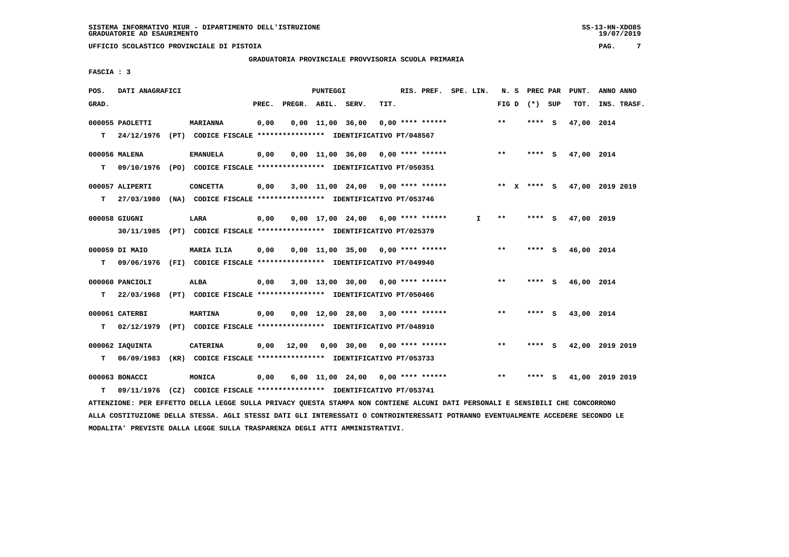**UFFICIO SCOLASTICO PROVINCIALE DI PISTOIA PAG. 7**

 **GRADUATORIA PROVINCIALE PROVVISORIA SCUOLA PRIMARIA**

 **FASCIA : 3**

| POS.  | DATI ANAGRAFICI  |                                                                                                                               |      |                          | PUNTEGGI |                                          |      | RIS. PREF. SPE. LIN. |              |                 |         | N. S PREC PAR PUNT.         | ANNO ANNO       |  |
|-------|------------------|-------------------------------------------------------------------------------------------------------------------------------|------|--------------------------|----------|------------------------------------------|------|----------------------|--------------|-----------------|---------|-----------------------------|-----------------|--|
| GRAD. |                  |                                                                                                                               |      | PREC. PREGR. ABIL. SERV. |          |                                          | TIT. |                      |              | FIG D $(*)$ SUP |         | TOT.                        | INS. TRASF.     |  |
|       | 000055 PAOLETTI  | <b>MARIANNA</b>                                                                                                               | 0,00 |                          |          | $0,00$ 11,00 36,00 0,00 **** ******      |      |                      |              | $***$           | $***$ S | 47,00 2014                  |                 |  |
|       | $T = 24/12/1976$ | (PT) CODICE FISCALE *************** IDENTIFICATIVO PT/048567                                                                  |      |                          |          |                                          |      |                      |              |                 |         |                             |                 |  |
|       | 000056 MALENA    | <b>EMANUELA</b>                                                                                                               | 0,00 |                          |          | $0.00$ 11.00 36.00 0.00 **** ******      |      |                      |              | $***$           | **** S  | 47,00 2014                  |                 |  |
| т     | 09/10/1976       | (PO) CODICE FISCALE *************** IDENTIFICATIVO PT/050351                                                                  |      |                          |          |                                          |      |                      |              |                 |         |                             |                 |  |
|       | 000057 ALIPERTI  | <b>CONCETTA</b>                                                                                                               | 0,00 |                          |          | $3,00$ 11,00 24,00 9,00 **** ******      |      |                      |              |                 |         | ** X **** S 47,00 2019 2019 |                 |  |
|       | $T = 27/03/1980$ | (NA) CODICE FISCALE *************** IDENTIFICATIVO PT/053746                                                                  |      |                          |          |                                          |      |                      |              |                 |         |                             |                 |  |
|       | 000058 GIUGNI    | LARA                                                                                                                          | 0,00 |                          |          | $0,00$ 17,00 24,00 6,00 **** ******      |      |                      | $\mathbf{I}$ | $***$           | $***$ S | 47,00 2019                  |                 |  |
|       |                  | 30/11/1985 (PT) CODICE FISCALE *************** IDENTIFICATIVO PT/025379                                                       |      |                          |          |                                          |      |                      |              |                 |         |                             |                 |  |
|       | 000059 DI MAIO   | MARIA ILIA                                                                                                                    | 0,00 |                          |          | $0,00$ 11,00 35,00 0,00 **** ******      |      |                      |              | $***$           | **** S  | 46,00 2014                  |                 |  |
|       | T 09/06/1976     | (FI) CODICE FISCALE *************** IDENTIFICATIVO PT/049940                                                                  |      |                          |          |                                          |      |                      |              |                 |         |                             |                 |  |
|       | 000060 PANCIOLI  | ALBA                                                                                                                          | 0,00 |                          |          | 3,00 13,00 30,00 0,00 **** ******        |      |                      |              | $* *$           | $***$ S | 46,00 2014                  |                 |  |
| T.    | 22/03/1968       | (PT) CODICE FISCALE *************** IDENTIFICATIVO PT/050466                                                                  |      |                          |          |                                          |      |                      |              |                 |         |                             |                 |  |
|       | 000061 CATERBI   | <b>MARTINA</b>                                                                                                                | 0,00 |                          |          | $0,00$ 12,00 28,00 3,00 **** ******      |      |                      |              | $**$            | **** S  | 43,00 2014                  |                 |  |
| т     | 02/12/1979       | (PT) CODICE FISCALE *************** IDENTIFICATIVO PT/048910                                                                  |      |                          |          |                                          |      |                      |              |                 |         |                             |                 |  |
|       | 000062 IAQUINTA  | <b>CATERINA</b>                                                                                                               |      |                          |          | $0,00$ 12,00 0,00 30,00 0,00 **** ****** |      |                      |              | $***$           | **** S  |                             | 42,00 2019 2019 |  |
|       | $T = 06/09/1983$ | (KR) CODICE FISCALE **************** IDENTIFICATIVO PT/053733                                                                 |      |                          |          |                                          |      |                      |              |                 |         |                             |                 |  |
|       | 000063 BONACCI   | <b>MONICA</b>                                                                                                                 | 0,00 |                          |          | 6,00 11,00 24,00 0,00 **** ******        |      |                      |              | $***$           | **** S  |                             | 41,00 2019 2019 |  |
| т     | 09/11/1976       | (CZ) CODICE FISCALE **************** IDENTIFICATIVO PT/053741                                                                 |      |                          |          |                                          |      |                      |              |                 |         |                             |                 |  |
|       |                  | ATTENZIONE: PER EFFETTO DELLA LEGGE SULLA PRIVACY QUESTA STAMPA NON CONTIENE ALCUNI DATI PERSONALI E SENSIBILI CHE CONCORRONO |      |                          |          |                                          |      |                      |              |                 |         |                             |                 |  |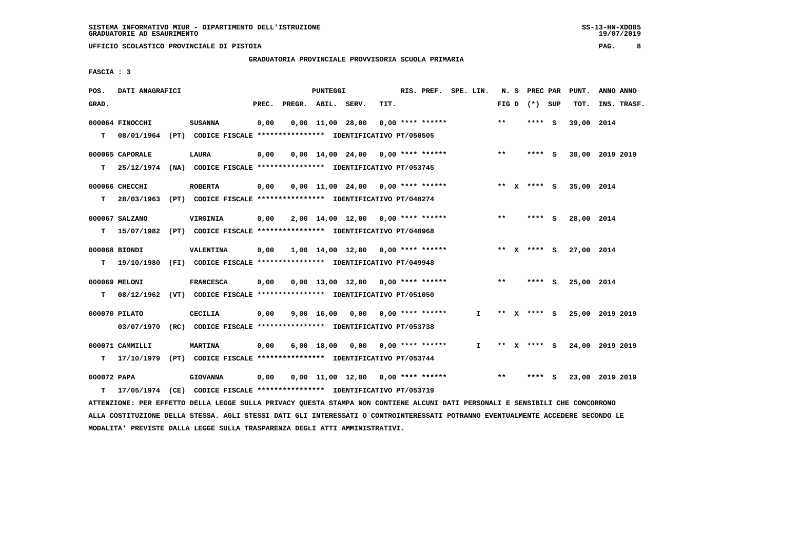**UFFICIO SCOLASTICO PROVINCIALE DI PISTOIA PAG. 8**

 **GRADUATORIA PROVINCIALE PROVVISORIA SCUOLA PRIMARIA**

 **FASCIA : 3**

| POS.        | DATI ANAGRAFICI  |                                                                                                                               |       |                    | PUNTEGGI |                                           |      | RIS. PREF. SPE. LIN. |              |       |                 | N. S PREC PAR PUNT. | ANNO ANNO                   |
|-------------|------------------|-------------------------------------------------------------------------------------------------------------------------------|-------|--------------------|----------|-------------------------------------------|------|----------------------|--------------|-------|-----------------|---------------------|-----------------------------|
| GRAD.       |                  |                                                                                                                               | PREC. | PREGR. ABIL. SERV. |          |                                           | TIT. |                      |              |       | FIG D $(*)$ SUP | тот.                | INS. TRASF.                 |
|             | 000064 FINOCCHI  | <b>SUSANNA</b>                                                                                                                | 0,00  |                    |          | $0,00$ 11,00 28,00 0,00 **** ******       |      |                      |              | $* *$ | **** S          | 39,00 2014          |                             |
|             |                  | T 08/01/1964 (PT) CODICE FISCALE *************** IDENTIFICATIVO PT/050505                                                     |       |                    |          |                                           |      |                      |              |       |                 |                     |                             |
|             | 000065 CAPORALE  | LAURA                                                                                                                         | 0,00  |                    |          | $0,00$ 14,00 24,00 0,00 **** ******       |      |                      |              | $***$ | **** S          |                     | 38,00 2019 2019             |
| т           |                  | 25/12/1974 (NA) CODICE FISCALE **************** IDENTIFICATIVO PT/053745                                                      |       |                    |          |                                           |      |                      |              |       |                 |                     |                             |
|             | 000066 CHECCHI   |                                                                                                                               | 0,00  |                    |          |                                           |      |                      |              |       | ** x **** S     | 35,00 2014          |                             |
|             |                  | <b>ROBERTA</b><br>T 28/03/1963 (PT) CODICE FISCALE *************** IDENTIFICATIVO PT/048274                                   |       |                    |          | $0,00$ 11,00 24,00 0,00 **** ******       |      |                      |              |       |                 |                     |                             |
|             |                  |                                                                                                                               |       |                    |          |                                           |      |                      |              |       |                 |                     |                             |
|             | 000067 SALZANO   | VIRGINIA                                                                                                                      | 0,00  |                    |          | $2,00$ 14,00 12,00 0,00 **** ******       |      |                      |              | $**$  | **** S          | 28,00 2014          |                             |
|             |                  | T 15/07/1982 (PT) CODICE FISCALE *************** IDENTIFICATIVO PT/048968                                                     |       |                    |          |                                           |      |                      |              |       |                 |                     |                             |
|             | 000068 BIONDI    | VALENTINA                                                                                                                     | 0,00  |                    |          | $1,00$ $14,00$ $12,00$ $0,00$ **** ****** |      |                      |              |       | ** $X$ **** S   | 27,00 2014          |                             |
|             | $T = 19/10/1980$ | (FI) CODICE FISCALE *************** IDENTIFICATIVO PT/049948                                                                  |       |                    |          |                                           |      |                      |              |       |                 |                     |                             |
|             | 000069 MELONI    | <b>FRANCESCA</b>                                                                                                              | 0,00  |                    |          | $0,00$ 13,00 12,00 0,00 **** ******       |      |                      |              | $**$  | **** S          | 25,00 2014          |                             |
| т           |                  | 08/12/1962 (VT) CODICE FISCALE **************** IDENTIFICATIVO PT/051050                                                      |       |                    |          |                                           |      |                      |              |       |                 |                     |                             |
|             | 000070 PILATO    | <b>CECILIA</b>                                                                                                                |       |                    |          |                                           |      |                      | $\mathbf{I}$ |       | ** X **** S     |                     |                             |
|             | 03/07/1970       | (RC) CODICE FISCALE **************** IDENTIFICATIVO PT/053738                                                                 | 0,00  |                    |          | $9,00$ 16,00 0,00 0,00 **** ******        |      |                      |              |       |                 |                     | 25,00 2019 2019             |
|             |                  |                                                                                                                               |       |                    |          |                                           |      |                      |              |       |                 |                     |                             |
|             | 000071 CAMMILLI  | <b>MARTINA</b>                                                                                                                | 0,00  |                    |          | 6,00 18,00 0,00 0,00 **** ******          |      |                      | $\mathbf{I}$ |       |                 |                     | ** X **** S 24,00 2019 2019 |
| т           |                  | 17/10/1979 (PT) CODICE FISCALE **************** IDENTIFICATIVO PT/053744                                                      |       |                    |          |                                           |      |                      |              |       |                 |                     |                             |
| 000072 PAPA |                  | <b>GIOVANNA</b>                                                                                                               | 0,00  |                    |          | $0,00$ 11,00 12,00 0,00 **** ******       |      |                      |              | $***$ | $***$ S         |                     | 23,00 2019 2019             |
| т           |                  | 17/05/1974 (CE) CODICE FISCALE **************** IDENTIFICATIVO PT/053719                                                      |       |                    |          |                                           |      |                      |              |       |                 |                     |                             |
|             |                  | ATTENZIONE: PER EFFETTO DELLA LEGGE SULLA PRIVACY QUESTA STAMPA NON CONTIENE ALCUNI DATI PERSONALI E SENSIBILI CHE CONCORRONO |       |                    |          |                                           |      |                      |              |       |                 |                     |                             |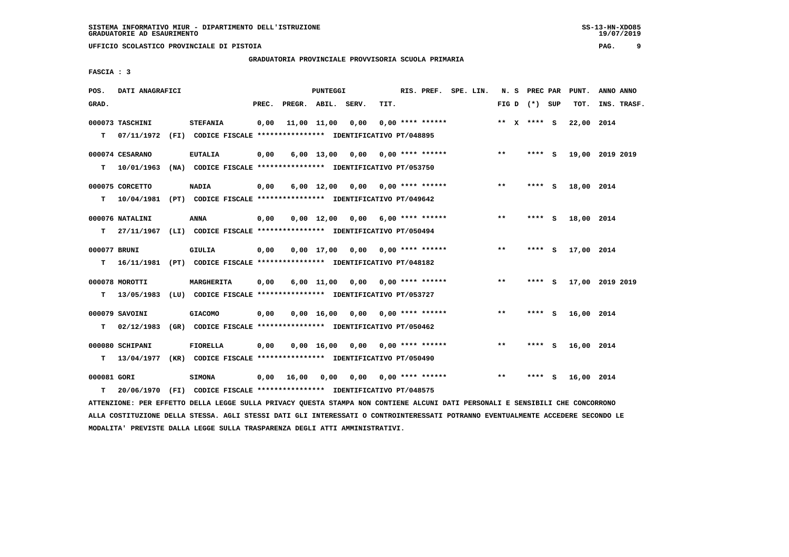**UFFICIO SCOLASTICO PROVINCIALE DI PISTOIA PAG. 9**

 **GRADUATORIA PROVINCIALE PROVVISORIA SCUOLA PRIMARIA**

 **FASCIA : 3**

| POS.        | DATI ANAGRAFICI                                                          |                 |       |              | PUNTEGGI           |                                                               |      | RIS. PREF. SPE. LIN.      |  |       | N. S PREC PAR   |     | PUNT.           | ANNO ANNO |             |
|-------------|--------------------------------------------------------------------------|-----------------|-------|--------------|--------------------|---------------------------------------------------------------|------|---------------------------|--|-------|-----------------|-----|-----------------|-----------|-------------|
| GRAD.       |                                                                          |                 | PREC. |              |                    | PREGR. ABIL. SERV.                                            | TIT. |                           |  |       | FIG D $(*)$ SUP |     | TOT.            |           | INS. TRASF. |
|             | 000073 TASCHINI                                                          | <b>STEFANIA</b> | 0,00  | 11,00 11,00  |                    | 0,00                                                          |      | $0.00$ **** ******        |  |       | ** $X$ **** S   |     | 22,00 2014      |           |             |
| т           | 07/11/1972 (FI) CODICE FISCALE **************** IDENTIFICATIVO PT/048895 |                 |       |              |                    |                                                               |      |                           |  |       |                 |     |                 |           |             |
|             | 000074 CESARANO                                                          | <b>EUTALIA</b>  | 0,00  |              |                    | $6,00$ 13,00 0,00 0,00 **** ******                            |      |                           |  | $***$ | $***$ S         |     | 19,00 2019 2019 |           |             |
| T.          | 10/01/1963                                                               |                 |       |              |                    | (NA) CODICE FISCALE **************** IDENTIFICATIVO PT/053750 |      |                           |  |       |                 |     |                 |           |             |
|             | 000075 CORCETTO                                                          | <b>NADIA</b>    | 0,00  |              |                    | $6,00$ 12,00 0,00 0,00 **** ******                            |      |                           |  | $***$ | **** S          |     | 18,00 2014      |           |             |
| T.          | 10/04/1981 (PT) CODICE FISCALE *************** IDENTIFICATIVO PT/049642  |                 |       |              |                    |                                                               |      |                           |  |       |                 |     |                 |           |             |
|             | 000076 NATALINI                                                          | ANNA            | 0,00  |              | $0.00 \quad 12.00$ |                                                               |      | $0,00$ 6,00 **** ******   |  | $***$ | **** S          |     | 18,00 2014      |           |             |
| т           | 27/11/1967 (LI) CODICE FISCALE *************** IDENTIFICATIVO PT/050494  |                 |       |              |                    |                                                               |      |                           |  |       |                 |     |                 |           |             |
|             | 000077 BRUNI                                                             | GIULIA          | 0,00  |              |                    | $0.00$ 17,00 0.00 0.00 **** ******                            |      |                           |  | $***$ | **** S          |     | 17,00 2014      |           |             |
| т           | 16/11/1981 (PT) CODICE FISCALE *************** IDENTIFICATIVO PT/048182  |                 |       |              |                    |                                                               |      |                           |  |       |                 |     |                 |           |             |
|             |                                                                          |                 |       |              |                    |                                                               |      |                           |  |       |                 |     |                 |           |             |
|             | 000078 MOROTTI                                                           | MARGHERITA      | 0,00  |              |                    | $6,00$ 11,00 0,00 0,00 **** ******                            |      |                           |  | $***$ | ****            | - S | 17,00 2019 2019 |           |             |
| т           | 13/05/1983 (LU) CODICE FISCALE **************** IDENTIFICATIVO PT/053727 |                 |       |              |                    |                                                               |      |                           |  |       |                 |     |                 |           |             |
|             | 000079 SAVOINI                                                           | <b>GIACOMO</b>  | 0,00  |              | $0,00 \quad 16,00$ |                                                               |      | $0.00$ $0.00$ **** ****** |  | **    | **** S          |     | 16,00 2014      |           |             |
| т           | 02/12/1983 (GR) CODICE FISCALE *************** IDENTIFICATIVO PT/050462  |                 |       |              |                    |                                                               |      |                           |  |       |                 |     |                 |           |             |
|             | 000080 SCHIPANI                                                          | <b>FIORELLA</b> | 0,00  |              | 0,00 16,00         |                                                               |      | $0,00$ $0,00$ **** ****** |  | $* *$ | **** S          |     | 16,00 2014      |           |             |
| T.          | 13/04/1977 (KR) CODICE FISCALE *************** IDENTIFICATIVO PT/050490  |                 |       |              |                    |                                                               |      |                           |  |       |                 |     |                 |           |             |
| 000081 GORI |                                                                          | <b>SIMONA</b>   |       | $0,00$ 16,00 | 0,00               |                                                               |      | $0,00$ $0,00$ **** ****** |  | $* *$ | **** S          |     | 16,00 2014      |           |             |
| T.          | 20/06/1970 (FI) CODICE FISCALE *************** IDENTIFICATIVO PT/048575  |                 |       |              |                    |                                                               |      |                           |  |       |                 |     |                 |           |             |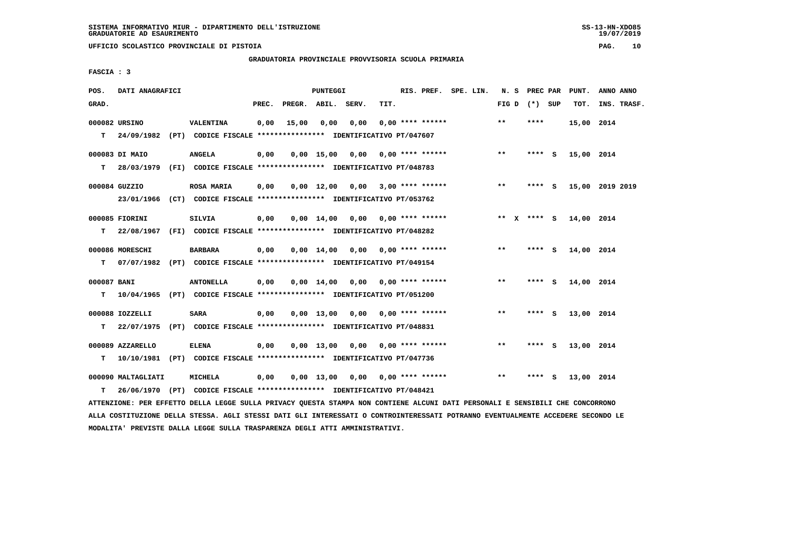**UFFICIO SCOLASTICO PROVINCIALE DI PISTOIA PAG. 10**

 **GRADUATORIA PROVINCIALE PROVVISORIA SCUOLA PRIMARIA**

 **FASCIA : 3**

| POS.        | DATI ANAGRAFICI    |                                                                           |       |                    | <b>PUNTEGGI</b> |                                                                    |      | RIS. PREF. SPE. LIN. |  |       | N. S PREC PAR   |     | PUNT.      | ANNO ANNO       |
|-------------|--------------------|---------------------------------------------------------------------------|-------|--------------------|-----------------|--------------------------------------------------------------------|------|----------------------|--|-------|-----------------|-----|------------|-----------------|
| GRAD.       |                    |                                                                           | PREC. | PREGR. ABIL. SERV. |                 |                                                                    | TIT. |                      |  |       | FIG D $(*)$ SUP |     | TOT.       | INS. TRASF.     |
|             | 000082 URSINO      | VALENTINA                                                                 | 0,00  | 15,00              | 0,00            | 0,00                                                               |      | $0.00$ **** ******   |  | $* *$ | ****            |     | 15,00 2014 |                 |
|             |                    | T 24/09/1982 (PT) CODICE FISCALE *************** IDENTIFICATIVO PT/047607 |       |                    |                 |                                                                    |      |                      |  |       |                 |     |            |                 |
|             | 000083 DI MAIO     | <b>ANGELA</b>                                                             | 0,00  |                    |                 | $0,00$ 15,00 0,00 0,00 **** ******                                 |      |                      |  | $***$ | $***$ S         |     | 15,00 2014 |                 |
| T.          |                    | 28/03/1979 (FI) CODICE FISCALE *************** IDENTIFICATIVO PT/048783   |       |                    |                 |                                                                    |      |                      |  |       |                 |     |            |                 |
|             | 000084 GUZZIO      | <b>ROSA MARIA</b>                                                         | 0,00  |                    |                 | $0,00$ 12,00 0,00 3,00 **** ******                                 |      |                      |  | $***$ | $***$ S         |     |            | 15,00 2019 2019 |
|             |                    | 23/01/1966 (CT) CODICE FISCALE *************** IDENTIFICATIVO PT/053762   |       |                    |                 |                                                                    |      |                      |  |       |                 |     |            |                 |
|             | 000085 FIORINI     | <b>SILVIA</b>                                                             | 0,00  |                    |                 | $0.00$ 14.00 0.00 0.00 **** ******                                 |      |                      |  |       | ** x **** s     |     | 14,00 2014 |                 |
| т           |                    | 22/08/1967 (FI) CODICE FISCALE **************** IDENTIFICATIVO PT/048282  |       |                    |                 |                                                                    |      |                      |  |       |                 |     |            |                 |
|             | 000086 MORESCHI    | <b>BARBARA</b>                                                            | 0,00  |                    |                 | $0.00 \quad 14.00 \quad 0.00 \quad 0.00 \quad *** \quad *** \quad$ |      |                      |  | $* *$ | **** S          |     | 14,00 2014 |                 |
| т           | 07/07/1982         | (PT) CODICE FISCALE **************** IDENTIFICATIVO PT/049154             |       |                    |                 |                                                                    |      |                      |  |       |                 |     |            |                 |
| 000087 BANI |                    | <b>ANTONELLA</b>                                                          | 0,00  |                    |                 | $0.00 \quad 14.00 \quad 0.00 \quad 0.00 \quad *** \quad ***$       |      |                      |  | **    | **** S          |     | 14,00 2014 |                 |
| T.          |                    | 10/04/1965 (PT) CODICE FISCALE **************** IDENTIFICATIVO PT/051200  |       |                    |                 |                                                                    |      |                      |  |       |                 |     |            |                 |
|             | 000088 IOZZELLI    | <b>SARA</b>                                                               | 0,00  |                    |                 | $0,00$ 13,00 0,00 0,00 **** ******                                 |      |                      |  | $**$  | $***$ S         |     | 13,00 2014 |                 |
| т           | 22/07/1975         | (PT) CODICE FISCALE **************** IDENTIFICATIVO PT/048831             |       |                    |                 |                                                                    |      |                      |  |       |                 |     |            |                 |
|             | 000089 AZZARELLO   | <b>ELENA</b>                                                              | 0,00  |                    |                 | $0,00$ 13,00 0,00 0,00 **** ******                                 |      |                      |  | $* *$ | **** S          |     | 13,00 2014 |                 |
| т           |                    | 10/10/1981 (PT) CODICE FISCALE **************** IDENTIFICATIVO PT/047736  |       |                    |                 |                                                                    |      |                      |  |       |                 |     |            |                 |
|             | 000090 MALTAGLIATI | MICHELA                                                                   | 0,00  |                    |                 | $0,00$ 13,00 0,00 0,00 **** ******                                 |      |                      |  | $* *$ | ****            | - 5 | 13,00 2014 |                 |
| т           |                    | 26/06/1970 (PT) CODICE FISCALE **************** IDENTIFICATIVO PT/048421  |       |                    |                 |                                                                    |      |                      |  |       |                 |     |            |                 |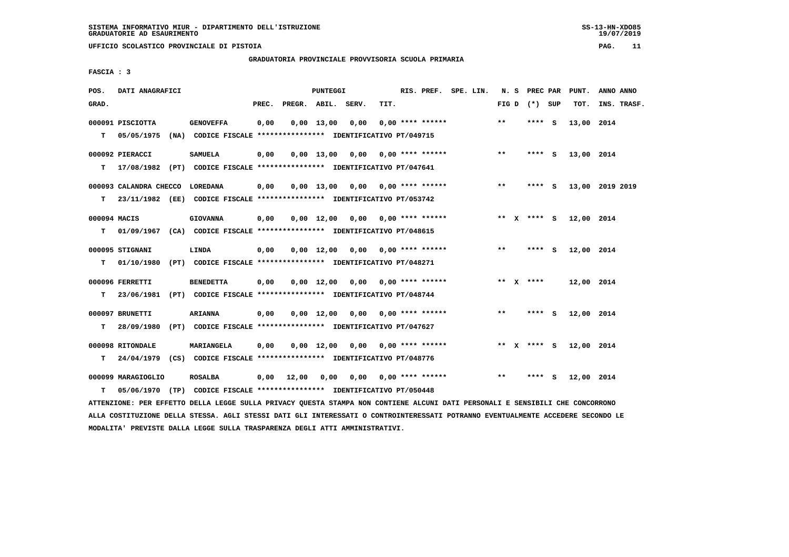**UFFICIO SCOLASTICO PROVINCIALE DI PISTOIA PAG. 11**

 **GRADUATORIA PROVINCIALE PROVVISORIA SCUOLA PRIMARIA**

 **FASCIA : 3**

| POS.              | DATI ANAGRAFICI                                                                              |                                                                                           |       |                    | <b>PUNTEGGI</b> |                                    |      | RIS. PREF. SPE. LIN.      |  |                 | N. S PREC PAR | PUNT.      | ANNO ANNO       |
|-------------------|----------------------------------------------------------------------------------------------|-------------------------------------------------------------------------------------------|-------|--------------------|-----------------|------------------------------------|------|---------------------------|--|-----------------|---------------|------------|-----------------|
| GRAD.             |                                                                                              |                                                                                           | PREC. | PREGR. ABIL. SERV. |                 |                                    | TIT. |                           |  | FIG D $(*)$ SUP |               | TOT.       | INS. TRASF.     |
| т                 | 000091 PISCIOTTA<br>05/05/1975                                                               | <b>GENOVEFFA</b><br>(NA) CODICE FISCALE **************** IDENTIFICATIVO PT/049715         | 0,00  |                    | $0,00$ 13,00    | 0,00                               |      | $0.00$ **** ******        |  | $* *$           | **** $S$      | 13,00 2014 |                 |
| т                 | 000092 PIERACCI<br>17/08/1982 (PT) CODICE FISCALE *************** IDENTIFICATIVO PT/047641   | <b>SAMUELA</b>                                                                            | 0,00  |                    |                 | $0,00$ 13,00 0,00 0,00 **** ****** |      |                           |  | $* *$           | $***$ S       | 13,00 2014 |                 |
| т                 | 000093 CALANDRA CHECCO LOREDANA                                                              | 23/11/1982 (EE) CODICE FISCALE **************** IDENTIFICATIVO PT/053742                  | 0,00  |                    |                 | $0.00$ 13,00 0.00 0.00 **** ****** |      |                           |  | $* *$           | **** S        |            | 13,00 2019 2019 |
| 000094 MACIS<br>т | 01/09/1967 (CA) CODICE FISCALE *************** IDENTIFICATIVO PT/048615                      | <b>GIOVANNA</b>                                                                           | 0,00  |                    | $0.00$ 12.00    |                                    |      | $0.00$ $0.00$ **** ****** |  | ** $X$ **** S   |               | 12,00 2014 |                 |
| т                 | 000095 STIGNANI<br>01/10/1980                                                                | LINDA<br>(PT) CODICE FISCALE *************** IDENTIFICATIVO PT/048271                     | 0,00  |                    |                 | $0,00$ 12,00 0,00 0,00 **** ****** |      |                           |  | $***$           | **** S        | 12,00 2014 |                 |
| T.                | 000096 FERRETTI<br>23/06/1981                                                                | <b>BENEDETTA</b><br>(PT) CODICE FISCALE **************** IDENTIFICATIVO PT/048744         | 0,00  |                    |                 | 0,00 12,00 0,00                    |      | $0.00$ **** ******        |  | ** $X$ ****     |               | 12,00 2014 |                 |
| т                 | 000097 BRUNETTI<br>28/09/1980                                                                | <b>ARIANNA</b><br>(PT) CODICE FISCALE **************** IDENTIFICATIVO PT/047627           | 0,00  |                    |                 | $0,00$ 12,00 0,00 0,00 **** ****** |      |                           |  | $* *$           | **** S        | 12,00 2014 |                 |
| т                 | 000098 RITONDALE<br>24/04/1979 (CS) CODICE FISCALE **************** IDENTIFICATIVO PT/048776 | MARIANGELA                                                                                | 0,00  |                    |                 | $0.00$ 12.00 0.00 0.00 **** ****** |      |                           |  | ** X **** S     |               | 12,00 2014 |                 |
| т                 | 000099 MARAGIOGLIO                                                                           | <b>ROSALBA</b><br>05/06/1970 (TP) CODICE FISCALE *************** IDENTIFICATIVO PT/050448 |       | $0,00$ 12,00       | 0,00            |                                    |      | $0,00$ $0,00$ **** ****** |  | $* *$           | **** S        | 12,00 2014 |                 |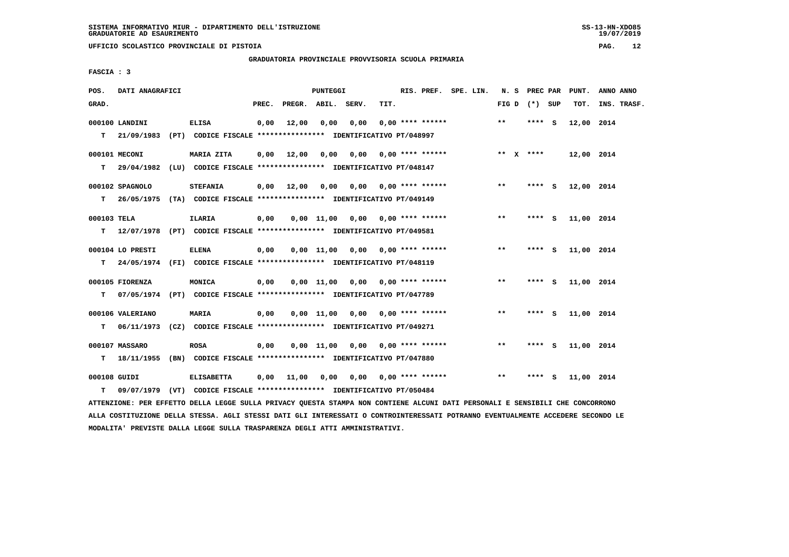**UFFICIO SCOLASTICO PROVINCIALE DI PISTOIA PAG. 12**

 **GRADUATORIA PROVINCIALE PROVVISORIA SCUOLA PRIMARIA**

 **FASCIA : 3**

| POS.        | DATI ANAGRAFICI  |                                                                                                                               |       |                       | <b>PUNTEGGI</b> |                                    |                         |                    | RIS. PREF. SPE. LIN.      |                   | N. S PREC PAR | PUNT.      | ANNO ANNO   |
|-------------|------------------|-------------------------------------------------------------------------------------------------------------------------------|-------|-----------------------|-----------------|------------------------------------|-------------------------|--------------------|---------------------------|-------------------|---------------|------------|-------------|
| GRAD.       |                  |                                                                                                                               | PREC. | PREGR. ABIL. SERV.    |                 |                                    | TIT.                    |                    |                           | FIG $D$ $(*)$ SUP |               | тот.       | INS. TRASF. |
|             | 000100 LANDINI   | <b>ELISA</b>                                                                                                                  | 0,00  | 12,00                 | 0,00            | 0,00                               |                         | $0.00$ **** ****** |                           | $* *$             | **** S        | 12,00 2014 |             |
|             |                  | T 21/09/1983 (PT) CODICE FISCALE *************** IDENTIFICATIVO PT/048997                                                     |       |                       |                 |                                    |                         |                    |                           |                   |               |            |             |
|             | 000101 MECONI    | MARIA ZITA                                                                                                                    |       | $0,00$ $12,00$ $0,00$ |                 |                                    | $0,00$ 0,00 **** ****** |                    |                           | ** $X$ ****       |               | 12,00 2014 |             |
|             |                  | T 29/04/1982 (LU) CODICE FISCALE **************** IDENTIFICATIVO PT/048147                                                    |       |                       |                 |                                    |                         |                    |                           |                   |               |            |             |
|             | 000102 SPAGNOLO  | <b>STEFANIA</b>                                                                                                               |       | $0,00$ $12,00$ $0,00$ |                 |                                    |                         |                    |                           | $***$             | $***$ S       | 12,00 2014 |             |
|             |                  | T 26/05/1975 (TA) CODICE FISCALE *************** IDENTIFICATIVO PT/049149                                                     |       |                       |                 |                                    |                         |                    |                           |                   |               |            |             |
|             |                  |                                                                                                                               |       |                       |                 |                                    |                         |                    |                           | $***$             |               |            |             |
| 000103 TELA |                  | <b>ILARIA</b><br>T 12/07/1978 (PT) CODICE FISCALE *************** IDENTIFICATIVO PT/049581                                    | 0,00  |                       |                 | $0,00$ 11,00 0,00 0,00 **** ****** |                         |                    |                           |                   | $***$ S       | 11,00 2014 |             |
|             |                  |                                                                                                                               |       |                       |                 |                                    |                         |                    |                           |                   |               |            |             |
|             | 000104 LO PRESTI | <b>ELENA</b>                                                                                                                  | 0,00  |                       |                 | $0,00$ 11,00 0,00 0,00 **** ****** |                         |                    |                           | $***$             | **** S        | 11,00 2014 |             |
|             |                  | T 24/05/1974 (FI) CODICE FISCALE *************** IDENTIFICATIVO PT/048119                                                     |       |                       |                 |                                    |                         |                    |                           |                   |               |            |             |
|             | 000105 FIORENZA  | MONICA                                                                                                                        | 0,00  |                       |                 | $0,00$ 11,00 0,00 0,00 **** ****** |                         |                    |                           | $***$             | **** S        | 11,00 2014 |             |
| T.          |                  | 07/05/1974 (PT) CODICE FISCALE **************** IDENTIFICATIVO PT/047789                                                      |       |                       |                 |                                    |                         |                    |                           |                   |               |            |             |
|             | 000106 VALERIANO | <b>MARIA</b>                                                                                                                  | 0,00  |                       |                 | $0,00$ 11,00 0,00 0,00 **** ****** |                         |                    |                           | $***$             | **** S        | 11,00 2014 |             |
| т           |                  | 06/11/1973 (CZ) CODICE FISCALE *************** IDENTIFICATIVO PT/049271                                                       |       |                       |                 |                                    |                         |                    |                           |                   |               |            |             |
|             | 000107 MASSARO   | <b>ROSA</b>                                                                                                                   | 0,00  |                       |                 | $0,00$ 11,00 0,00 0,00 **** ****** |                         |                    |                           | $* *$             | $***$ S       | 11,00 2014 |             |
|             |                  | T 18/11/1955 (BN) CODICE FISCALE **************** IDENTIFICATIVO PT/047880                                                    |       |                       |                 |                                    |                         |                    |                           |                   |               |            |             |
|             | 000108 GUIDI     | <b>ELISABETTA</b>                                                                                                             | 0,00  | 11,00 0,00            |                 |                                    |                         |                    | $0.00$ $0.00$ **** ****** | $* *$             | **** S        | 11,00 2014 |             |
| T.          |                  | 09/07/1979 (VT) CODICE FISCALE *************** IDENTIFICATIVO PT/050484                                                       |       |                       |                 |                                    |                         |                    |                           |                   |               |            |             |
|             |                  | ATTENZIONE: PER EFFETTO DELLA LEGGE SULLA PRIVACY QUESTA STAMPA NON CONTIENE ALCUNI DATI PERSONALI E SENSIBILI CHE CONCORRONO |       |                       |                 |                                    |                         |                    |                           |                   |               |            |             |